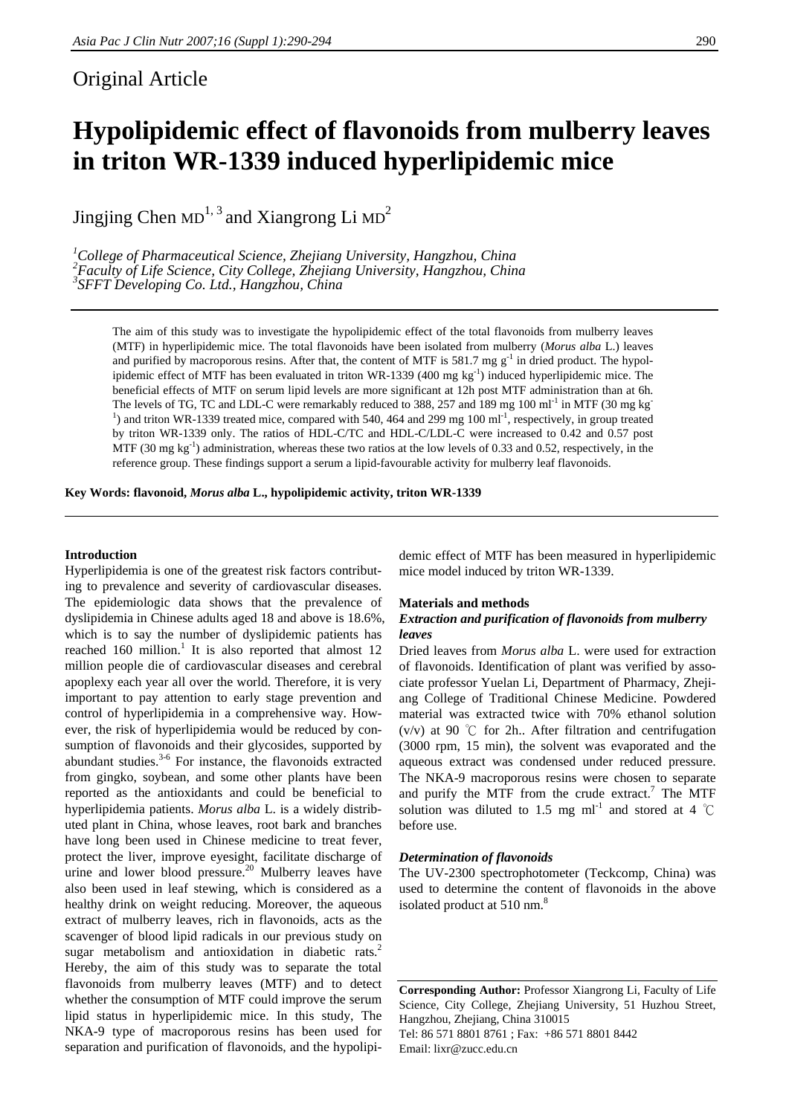# Original Article

# **Hypolipidemic effect of flavonoids from mulberry leaves in triton WR-1339 induced hyperlipidemic mice**

Jingjing Chen  $MD^{1,3}$  and Xiangrong Li  $MD^{2}$ 

<sup>1</sup>College of Pharmaceutical Science, Zhejiang University, Hangzhou, China <sup>2</sup> Eggylty of Life Science, City College, Zhejiang University, Hangzhou, China *Faculty of Life Science, City College, Zhejiang University, Hangzhou, China 3 SFFT Developing Co. Ltd., Hangzhou, China* 

The aim of this study was to investigate the hypolipidemic effect of the total flavonoids from mulberry leaves (MTF) in hyperlipidemic mice. The total flavonoids have been isolated from mulberry (*Morus alba* L.) leaves and purified by macroporous resins. After that, the content of MTF is 581.7 mg  $g^{-1}$  in dried product. The hypolipidemic effect of MTF has been evaluated in triton WR-1339 (400 mg  $kg^{-1}$ ) induced hyperlipidemic mice. The beneficial effects of MTF on serum lipid levels are more significant at 12h post MTF administration than at 6h. The levels of TG, TC and LDL-C were remarkably reduced to 388, 257 and 189 mg 100 ml<sup>-1</sup> in MTF (30 mg kg<sup>-1</sup>) <sup>1</sup>) and triton WR-1339 treated mice, compared with 540, 464 and 299 mg 100 ml<sup>-1</sup>, respectively, in group treated by triton WR-1339 only. The ratios of HDL-C/TC and HDL-C/LDL-C were increased to 0.42 and 0.57 post MTF (30 mg kg<sup>-1</sup>) administration, whereas these two ratios at the low levels of 0.33 and 0.52, respectively, in the reference group. These findings support a serum a lipid-favourable activity for mulberry leaf flavonoids.

**Key Words: flavonoid,** *Morus alba* **L., hypolipidemic activity, triton WR-1339** 

#### **Introduction**

Hyperlipidemia is one of the greatest risk factors contributing to prevalence and severity of cardiovascular diseases. The epidemiologic data shows that the prevalence of dyslipidemia in Chinese adults aged 18 and above is 18.6%, which is to say the number of dyslipidemic patients has reached 160 million.<sup>1</sup> It is also reported that almost 12 million people die of cardiovascular diseases and cerebral apoplexy each year all over the world. Therefore, it is very important to pay attention to early stage prevention and control of hyperlipidemia in a comprehensive way. However, the risk of hyperlipidemia would be reduced by consumption of flavonoids and their glycosides, supported by abundant studies.<sup>3-6</sup> For instance, the flavonoids extracted from gingko, soybean, and some other plants have been reported as the antioxidants and could be beneficial to hyperlipidemia patients. *Morus alba* L. is a widely distributed plant in China, whose leaves, root bark and branches have long been used in Chinese medicine to treat fever, protect the liver, improve eyesight, facilitate discharge of urine and lower blood pressure.<sup>20</sup> Mulberry leaves have also been used in leaf stewing, which is considered as a healthy drink on weight reducing. Moreover, the aqueous extract of mulberry leaves, rich in flavonoids, acts as the scavenger of blood lipid radicals in our previous study on sugar metabolism and antioxidation in diabetic rats.<sup>2</sup> Hereby, the aim of this study was to separate the total flavonoids from mulberry leaves (MTF) and to detect whether the consumption of MTF could improve the serum lipid status in hyperlipidemic mice. In this study, The NKA-9 type of macroporous resins has been used for separation and purification of flavonoids, and the hypolipi-

demic effect of MTF has been measured in hyperlipidemic mice model induced by triton WR-1339.

#### **Materials and methods**

#### *Extraction and purification of flavonoids from mulberry leaves*

Dried leaves from *Morus alba* L. were used for extraction of flavonoids. Identification of plant was verified by associate professor Yuelan Li, Department of Pharmacy, Zhejiang College of Traditional Chinese Medicine. Powdered material was extracted twice with 70% ethanol solution (v/v) at 90 ℃ for 2h.. After filtration and centrifugation (3000 rpm, 15 min), the solvent was evaporated and the aqueous extract was condensed under reduced pressure. The NKA-9 macroporous resins were chosen to separate and purify the MTF from the crude extract.<sup>7</sup> The MTF solution was diluted to 1.5 mg ml<sup>-1</sup> and stored at 4 °C before use.

#### *Determination of flavonoids*

The UV-2300 spectrophotometer (Teckcomp, China) was used to determine the content of flavonoids in the above isolated product at 510 nm.<sup>8</sup>

**Corresponding Author:** Professor Xiangrong Li, Faculty of Life Science, City College, Zhejiang University, 51 Huzhou Street, Hangzhou, Zhejiang, China 310015

Tel: 86 571 8801 8761 ; Fax: +86 571 8801 8442 Email: lixr@zucc.edu.cn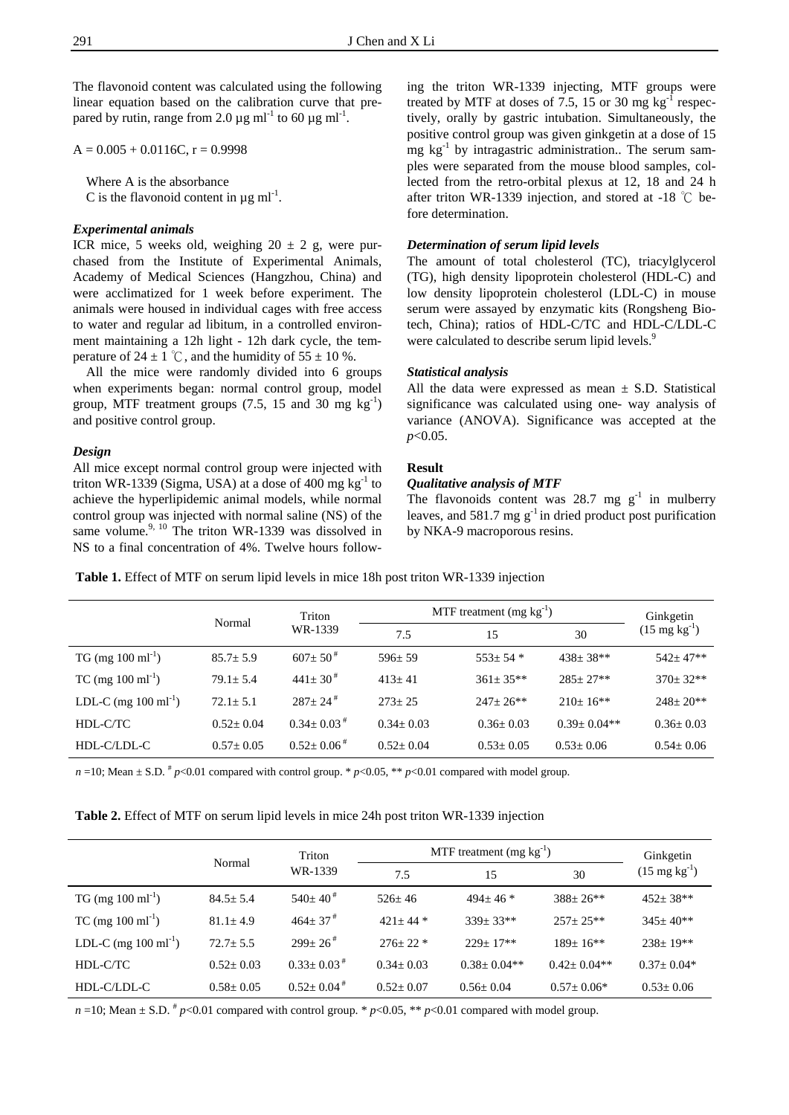The flavonoid content was calculated using the following linear equation based on the calibration curve that prepared by rutin, range from 2.0  $\mu$ g ml<sup>-1</sup> to 60  $\mu$ g ml<sup>-1</sup>.

 $A = 0.005 + 0.0116C$ ,  $r = 0.9998$ 

 Where A is the absorbance C is the flavonoid content in  $\mu$ g ml<sup>-1</sup>.

#### *Experimental animals*

ICR mice, 5 weeks old, weighing  $20 \pm 2$  g, were purchased from the Institute of Experimental Animals, Academy of Medical Sciences (Hangzhou, China) and were acclimatized for 1 week before experiment. The animals were housed in individual cages with free access to water and regular ad libitum, in a controlled environment maintaining a 12h light - 12h dark cycle, the temperature of  $24 \pm 1$  °C, and the humidity of  $55 \pm 10$  %.

 All the mice were randomly divided into 6 groups when experiments began: normal control group, model group, MTF treatment groups  $(7.5, 15 \text{ and } 30 \text{ mg kg}^{-1})$ and positive control group.

#### *Design*

All mice except normal control group were injected with triton WR-1339 (Sigma, USA) at a dose of 400 mg  $kg^{-1}$  to achieve the hyperlipidemic animal models, while normal control group was injected with normal saline (NS) of the same volume.<sup>9, 10</sup> The triton WR-1339 was dissolved in NS to a final concentration of 4%. Twelve hours following the triton WR-1339 injecting, MTF groups were treated by MTF at doses of 7.5, 15 or 30 mg  $kg^{-1}$  respectively, orally by gastric intubation. Simultaneously, the positive control group was given ginkgetin at a dose of 15 mg  $kg<sup>-1</sup>$  by intragastric administration.. The serum samples were separated from the mouse blood samples, collected from the retro-orbital plexus at 12, 18 and 24 h after triton WR-1339 injection, and stored at -18 ℃ before determination.

#### *Determination of serum lipid levels*

The amount of total cholesterol (TC), triacylglycerol (TG), high density lipoprotein cholesterol (HDL-C) and low density lipoprotein cholesterol (LDL-C) in mouse serum were assayed by enzymatic kits (Rongsheng Biotech, China); ratios of HDL-C/TC and HDL-C/LDL-C were calculated to describe serum lipid levels.<sup>9</sup>

#### *Statistical analysis*

All the data were expressed as mean  $\pm$  S.D. Statistical significance was calculated using one- way analysis of variance (ANOVA). Significance was accepted at the *p*<0.05.

## **Result**

### *Qualitative analysis of MTF*

The flavonoids content was  $28.7$  mg  $g^{-1}$  in mulberry leaves, and 581.7 mg  $g^{-1}$  in dried product post purification by NKA-9 macroporous resins.

**Table 1.** Effect of MTF on serum lipid levels in mice 18h post triton WR-1339 injection

|                                        | Normal          | Triton                       | MTF treatment $(mg kg^{-1})$ | Ginkgetin       |                   |                           |  |
|----------------------------------------|-----------------|------------------------------|------------------------------|-----------------|-------------------|---------------------------|--|
|                                        |                 | WR-1339                      | 7.5                          | 15              | 30                | $(15 \text{ mg kg}^{-1})$ |  |
| $TG \text{ (mg } 100 \text{ ml}^{-1})$ | $85.7 \pm 5.9$  | $607 \pm 50^{*}$             | $596 \pm 59$                 | $553+54*$       | $438 \pm 38**$    | $542+47**$                |  |
| $TC \text{ (mg } 100 \text{ ml}^{-1})$ | $79.1 + 5.4$    | $441 \pm 30^{\frac{4}{3}}$   | $413+41$                     | $361 \pm 35**$  | $285+27**$        | $370 \pm 32**$            |  |
| LDL-C (mg $100 \text{ ml}^{-1}$ )      | $72.1 + 5.1$    | $287+24$ <sup>#</sup>        | $273 + 25$                   | $247+26**$      | $210+16**$        | $248 \pm 20**$            |  |
| HDL-C/TC                               | $0.52 \pm 0.04$ | $0.34 \pm 0.03$ <sup>#</sup> | $0.34 \pm 0.03$              | $0.36 \pm 0.03$ | $0.39 \pm 0.04**$ | $0.36 \pm 0.03$           |  |
| HDL-C/LDL-C                            | $0.57 \pm 0.05$ | $0.52 \pm 0.06$ <sup>#</sup> | $0.52 \pm 0.04$              | $0.53 \pm 0.05$ | $0.53 \pm 0.06$   | $0.54 \pm 0.06$           |  |

*n* = 10; Mean  $\pm$  S.D.  $\frac{h}{r}$  *p*<0.01 compared with control group. \* *p*<0.05, \*\* *p*<0.01 compared with model group.

|  | <b>Table 2.</b> Effect of MTF on serum lipid levels in mice 24h post triton WR-1339 injection |  |  |  |  |  |
|--|-----------------------------------------------------------------------------------------------|--|--|--|--|--|
|  |                                                                                               |  |  |  |  |  |

|                                       |                | Triton<br>WR-1339        | MTF treatment $(mg kg^{-1})$ | Ginkgetin         |                |                           |
|---------------------------------------|----------------|--------------------------|------------------------------|-------------------|----------------|---------------------------|
|                                       | Normal         |                          | 7.5                          | 15                | 30             | $(15 \text{ mg kg}^{-1})$ |
| $TG \, (mg \, 100 \, \text{ml}^{-1})$ | $84.5 \pm 5.4$ | $540+40$ <sup>#</sup>    | $526+46$                     | $494 + 46 *$      | $388+26**$     | $452 \pm 38$ **           |
| TC (mg $100 \text{ ml}^{-1}$ )        | $81.1 + 4.9$   | $464 + 37$ <sup>#</sup>  | $421 + 44$ *                 | $339+33**$        | $257+25**$     | $345+40**$                |
| LDL-C (mg $100 \text{ ml}^{-1}$ )     | $72.7 + 5.5$   | $299+26$ <sup>#</sup>    | $276+22*$                    | $229+17**$        | $189+16**$     | $238+19**$                |
| HDL-C/TC                              | $0.52 + 0.03$  | $0.33+0.03$ <sup>#</sup> | $0.34 + 0.03$                | $0.38 \pm 0.04**$ | $0.42+0.04**$  | $0.37+0.04*$              |
| HDL-C/LDL-C                           | $0.58 + 0.05$  | $0.52+0.04$ <sup>#</sup> | $0.52 + 0.07$                | $0.56 + 0.04$     | $0.57 + 0.06*$ | $0.53 + 0.06$             |

*n* =10; Mean  $\pm$  S.D.  $\#$  *p*<0.01 compared with control group.  $*$  *p*<0.05,  $**$  *p*<0.01 compared with model group.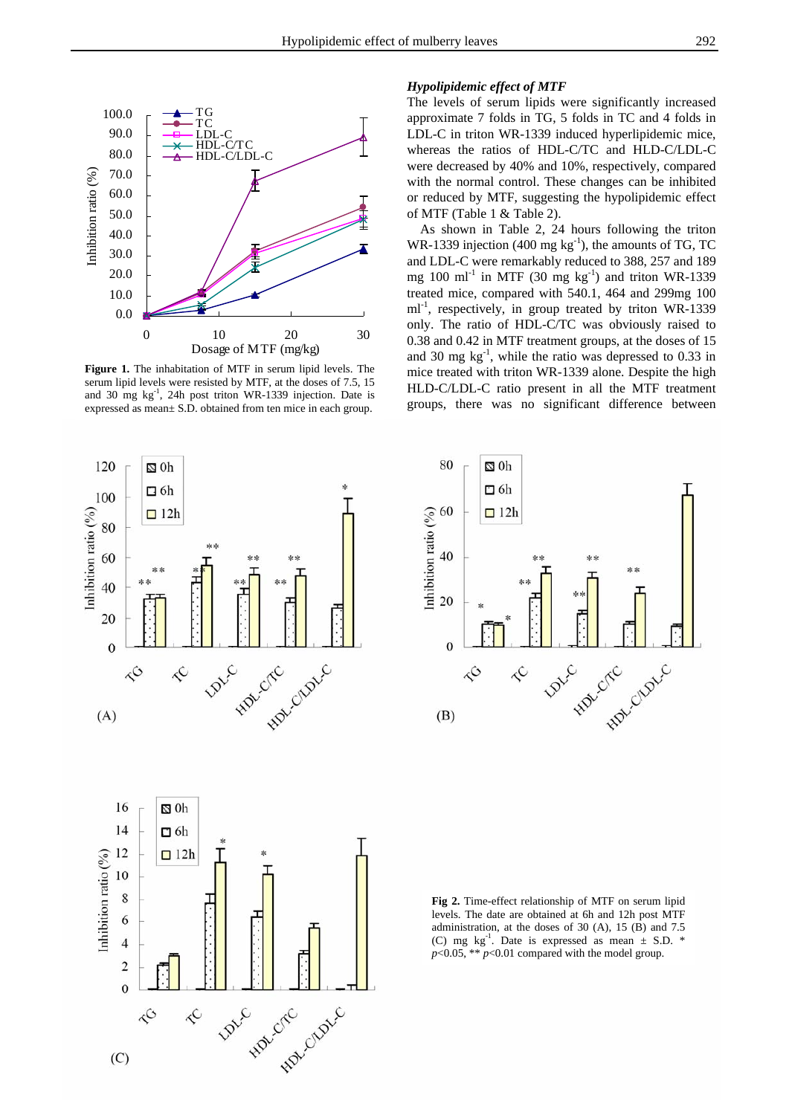

**Figure 1.** The inhabitation of MTF in serum lipid levels. The serum lipid levels were resisted by MTF, at the doses of 7.5, 15 and 30 mg kg-1, 24h post triton WR-1339 injection. Date is expressed as mean± S.D. obtained from ten mice in each group.

#### *Hypolipidemic effect of MTF*

The levels of serum lipids were significantly increased approximate 7 folds in TG, 5 folds in TC and 4 folds in LDL-C in triton WR-1339 induced hyperlipidemic mice, whereas the ratios of HDL-C/TC and HLD-C/LDL-C were decreased by 40% and 10%, respectively, compared with the normal control. These changes can be inhibited or reduced by MTF, suggesting the hypolipidemic effect of MTF (Table 1 & Table 2).

 As shown in Table 2, 24 hours following the triton WR-1339 injection (400 mg  $kg^{-1}$ ), the amounts of TG, TC and LDL-C were remarkably reduced to 388, 257 and 189 mg  $100 \text{ ml}^{-1}$  in MTF (30 mg  $\text{kg}^{-1}$ ) and triton WR-1339 treated mice, compared with 540.1, 464 and 299mg 100 ml<sup>-1</sup>, respectively, in group treated by triton WR-1339 only. The ratio of HDL-C/TC was obviously raised to 0.38 and 0.42 in MTF treatment groups, at the doses of 15 and 30 mg  $kg^{-1}$ , while the ratio was depressed to 0.33 in mice treated with triton WR-1339 alone. Despite the high HLD-C/LDL-C ratio present in all the MTF treatment groups, there was no significant difference between





**Fig 2.** Time-effect relationship of MTF on serum lipid levels. The date are obtained at 6h and 12h post MTF administration, at the doses of 30 (A), 15 (B) and 7.5 (C) mg kg<sup>-1</sup>. Date is expressed as mean  $\pm$  S.D. \* *p*<0.05, \*\* *p*<0.01 compared with the model group.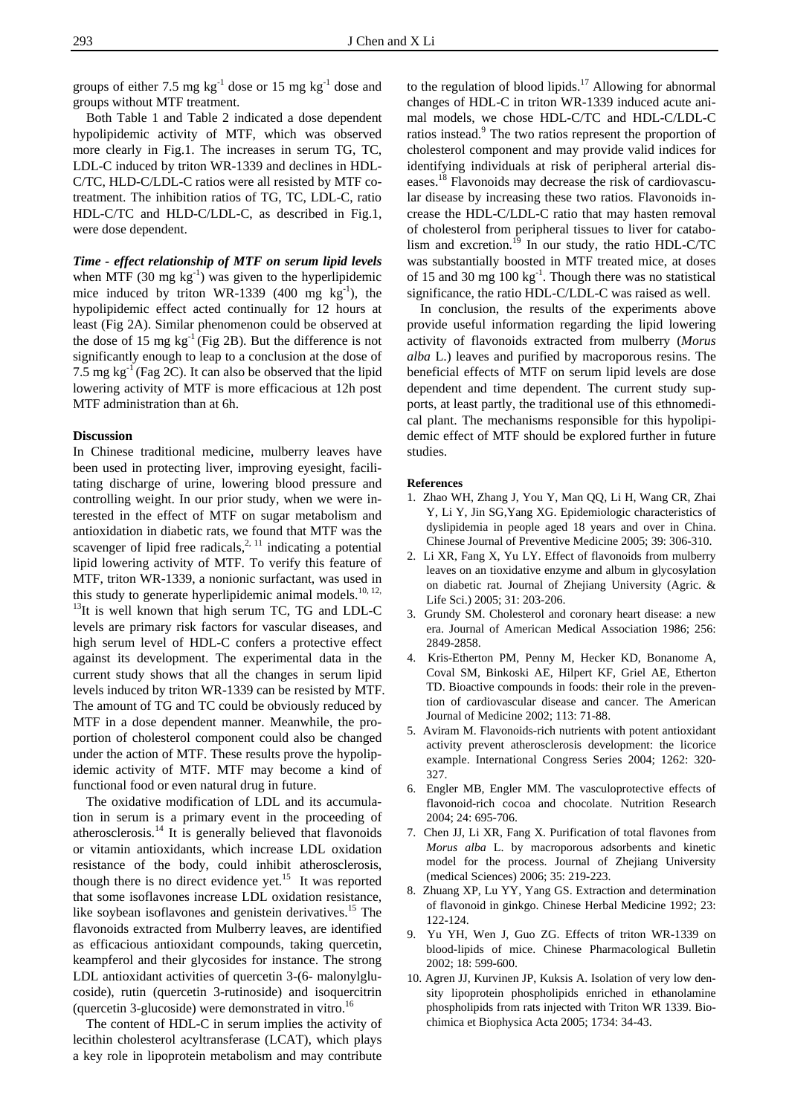groups of either 7.5 mg  $kg^{-1}$  dose or 15 mg  $kg^{-1}$  dose and groups without MTF treatment.

Both Table 1 and Table 2 indicated a dose dependent hypolipidemic activity of MTF, which was observed more clearly in Fig.1. The increases in serum TG, TC, LDL-C induced by triton WR-1339 and declines in HDL-C/TC, HLD-C/LDL-C ratios were all resisted by MTF cotreatment. The inhibition ratios of TG, TC, LDL-C, ratio HDL-C/TC and HLD-C/LDL-C, as described in Fig.1, were dose dependent.

*Time - effect relationship of MTF on serum lipid levels*  when MTF  $(30 \text{ mg kg}^{-1})$  was given to the hyperlipidemic mice induced by triton WR-1339  $(400 \text{ mg kg}^{-1})$ , the hypolipidemic effect acted continually for 12 hours at least (Fig 2A). Similar phenomenon could be observed at the dose of 15 mg  $kg^{-1}$  (Fig 2B). But the difference is not significantly enough to leap to a conclusion at the dose of 7.5 mg kg-1 (Fag 2C). It can also be observed that the lipid lowering activity of MTF is more efficacious at 12h post MTF administration than at 6h.

#### **Discussion**

In Chinese traditional medicine, mulberry leaves have been used in protecting liver, improving eyesight, facilitating discharge of urine, lowering blood pressure and controlling weight. In our prior study, when we were interested in the effect of MTF on sugar metabolism and antioxidation in diabetic rats, we found that MTF was the scavenger of lipid free radicals, $2, 11$  indicating a potential lipid lowering activity of MTF. To verify this feature of MTF, triton WR-1339, a nonionic surfactant, was used in this study to generate hyperlipidemic animal models.<sup>10, 12,</sup>  $13$ It is well known that high serum TC, TG and LDL-C levels are primary risk factors for vascular diseases, and high serum level of HDL-C confers a protective effect against its development. The experimental data in the current study shows that all the changes in serum lipid levels induced by triton WR-1339 can be resisted by MTF. The amount of TG and TC could be obviously reduced by MTF in a dose dependent manner. Meanwhile, the proportion of cholesterol component could also be changed under the action of MTF. These results prove the hypolipidemic activity of MTF. MTF may become a kind of functional food or even natural drug in future.

 The oxidative modification of LDL and its accumulation in serum is a primary event in the proceeding of atherosclerosis. $14$  It is generally believed that flavonoids or vitamin antioxidants, which increase LDL oxidation resistance of the body, could inhibit atherosclerosis, though there is no direct evidence yet.<sup>15</sup> It was reported that some isoflavones increase LDL oxidation resistance, like soybean isoflavones and genistein derivatives.<sup>15</sup> The flavonoids extracted from Mulberry leaves, are identified as efficacious antioxidant compounds, taking quercetin, keampferol and their glycosides for instance. The strong LDL antioxidant activities of quercetin 3-(6- malonylglucoside), rutin (quercetin 3-rutinoside) and isoquercitrin (quercetin 3-glucoside) were demonstrated in vitro.<sup>16</sup>

 The content of HDL-C in serum implies the activity of lecithin cholesterol acyltransferase (LCAT), which plays a key role in lipoprotein metabolism and may contribute

to the regulation of blood lipids.17 Allowing for abnormal changes of HDL-C in triton WR-1339 induced acute animal models, we chose HDL-C/TC and HDL-C/LDL-C ratios instead.<sup>9</sup> The two ratios represent the proportion of cholesterol component and may provide valid indices for identifying individuals at risk of peripheral arterial diseases.18 Flavonoids may decrease the risk of cardiovascular disease by increasing these two ratios. Flavonoids increase the HDL-C/LDL-C ratio that may hasten removal of cholesterol from peripheral tissues to liver for catabolism and excretion.<sup>19</sup> In our study, the ratio HDL-C/TC was substantially boosted in MTF treated mice, at doses of 15 and 30 mg  $100 \text{ kg}^{-1}$ . Though there was no statistical significance, the ratio HDL-C/LDL-C was raised as well.

 In conclusion, the results of the experiments above provide useful information regarding the lipid lowering activity of flavonoids extracted from mulberry (*Morus alba* L.) leaves and purified by macroporous resins. The beneficial effects of MTF on serum lipid levels are dose dependent and time dependent. The current study supports, at least partly, the traditional use of this ethnomedical plant. The mechanisms responsible for this hypolipidemic effect of MTF should be explored further in future studies.

#### **References**

- 1. Zhao WH, Zhang J, You Y, Man QQ, Li H, Wang CR, Zhai Y, Li Y, Jin SG,Yang XG. Epidemiologic characteristics of dyslipidemia in people aged 18 years and over in China. Chinese Journal of Preventive Medicine 2005; 39: 306-310.
- 2. Li XR, Fang X, Yu LY. Effect of flavonoids from mulberry leaves on an tioxidative enzyme and album in glycosylation on diabetic rat. Journal of Zhejiang University (Agric. & Life Sci.) 2005; 31: 203-206.
- 3. Grundy SM. Cholesterol and coronary heart disease: a new era. Journal of American Medical Association 1986; 256: 2849-2858.
- 4. Kris-Etherton PM, Penny M, Hecker KD, Bonanome A, Coval SM, Binkoski AE, Hilpert KF, Griel AE, Etherton TD. Bioactive compounds in foods: their role in the prevention of cardiovascular disease and cancer. The American Journal of Medicine 2002; 113: 71-88.
- 5. Aviram M. Flavonoids-rich nutrients with potent antioxidant activity prevent atherosclerosis development: the licorice example. International Congress Series 2004; 1262: 320- 327.
- 6. Engler MB, Engler MM. The vasculoprotective effects of flavonoid-rich cocoa and chocolate. Nutrition Research 2004; 24: 695-706.
- 7. Chen JJ, Li XR, Fang X. Purification of total flavones from *Morus alba* L. by macroporous adsorbents and kinetic model for the process. Journal of Zhejiang University (medical Sciences) 2006; 35: 219-223.
- 8. Zhuang XP, Lu YY, Yang GS. Extraction and determination of flavonoid in ginkgo. Chinese Herbal Medicine 1992; 23: 122-124.
- 9. Yu YH, Wen J, Guo ZG. Effects of triton WR-1339 on blood-lipids of mice. Chinese Pharmacological Bulletin 2002; 18: 599-600.
- 10. Agren JJ, Kurvinen JP, Kuksis A. Isolation of very low density lipoprotein phospholipids enriched in ethanolamine phospholipids from rats injected with Triton WR 1339. Biochimica et Biophysica Acta 2005; 1734: 34-43.